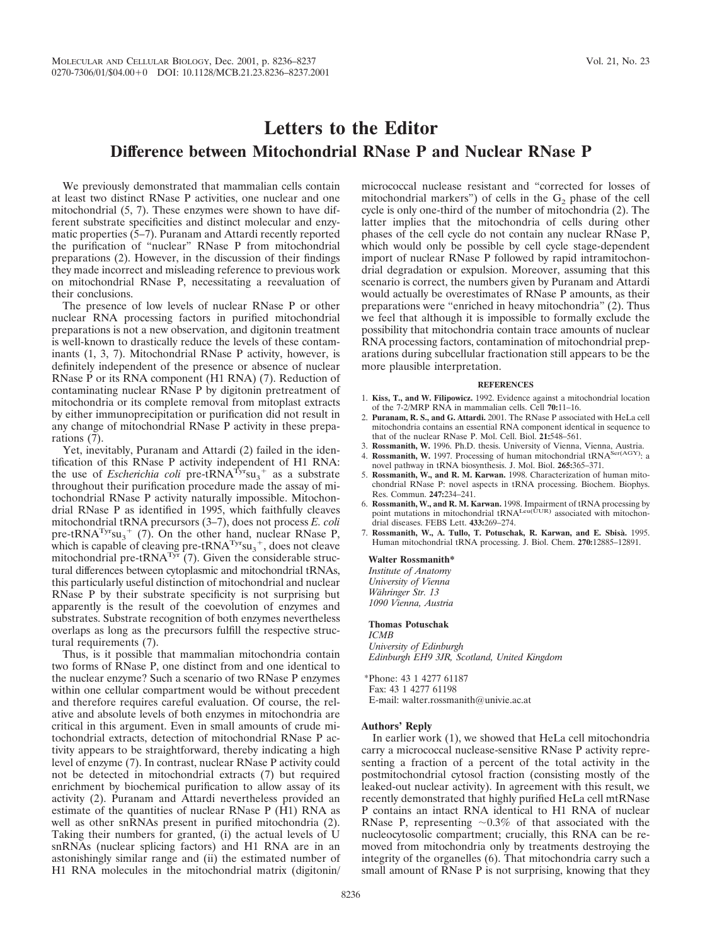# **Letters to the Editor Difference between Mitochondrial RNase P and Nuclear RNase P**

We previously demonstrated that mammalian cells contain at least two distinct RNase P activities, one nuclear and one mitochondrial (5, 7). These enzymes were shown to have different substrate specificities and distinct molecular and enzymatic properties  $(5-7)$ . Puranam and Attardi recently reported the purification of "nuclear" RNase P from mitochondrial preparations (2). However, in the discussion of their findings they made incorrect and misleading reference to previous work on mitochondrial RNase P, necessitating a reevaluation of their conclusions.

The presence of low levels of nuclear RNase P or other nuclear RNA processing factors in purified mitochondrial preparations is not a new observation, and digitonin treatment is well-known to drastically reduce the levels of these contaminants (1, 3, 7). Mitochondrial RNase P activity, however, is definitely independent of the presence or absence of nuclear RNase P or its RNA component (H1 RNA) (7). Reduction of contaminating nuclear RNase P by digitonin pretreatment of mitochondria or its complete removal from mitoplast extracts by either immunoprecipitation or purification did not result in any change of mitochondrial RNase P activity in these preparations (7).

Yet, inevitably, Puranam and Attardi (2) failed in the identification of this RNase P activity independent of H1 RNA: the use of *Escherichia coli* pre-tRNA<sup>Tyr</sup>su<sub>3</sub><sup>+</sup> as a substrate throughout their purification procedure made the assay of mitochondrial RNase P activity naturally impossible. Mitochondrial RNase P as identified in 1995, which faithfully cleaves mitochondrial tRNA precursors (3–7), does not process *E. coli* pre-tRNA<sup>Tyr</sup>su<sub>3</sub><sup>+</sup> (7). On the other hand, nuclear RNase P, which is capable of cleaving pre- $tRNA^{Try}su_3^+$ , does not cleave mitochondrial pre-tRNA<sup>Tyr</sup> (7). Given the considerable structural differences between cytoplasmic and mitochondrial tRNAs, this particularly useful distinction of mitochondrial and nuclear RNase P by their substrate specificity is not surprising but apparently is the result of the coevolution of enzymes and substrates. Substrate recognition of both enzymes nevertheless overlaps as long as the precursors fulfill the respective structural requirements (7).

Thus, is it possible that mammalian mitochondria contain two forms of RNase P, one distinct from and one identical to the nuclear enzyme? Such a scenario of two RNase P enzymes within one cellular compartment would be without precedent and therefore requires careful evaluation. Of course, the relative and absolute levels of both enzymes in mitochondria are critical in this argument. Even in small amounts of crude mitochondrial extracts, detection of mitochondrial RNase P activity appears to be straightforward, thereby indicating a high level of enzyme (7). In contrast, nuclear RNase P activity could not be detected in mitochondrial extracts (7) but required enrichment by biochemical purification to allow assay of its activity (2). Puranam and Attardi nevertheless provided an estimate of the quantities of nuclear RNase P (H1) RNA as well as other snRNAs present in purified mitochondria (2). Taking their numbers for granted, (i) the actual levels of U snRNAs (nuclear splicing factors) and H1 RNA are in an astonishingly similar range and (ii) the estimated number of H1 RNA molecules in the mitochondrial matrix (digitonin/ micrococcal nuclease resistant and "corrected for losses of mitochondrial markers") of cells in the  $G<sub>2</sub>$  phase of the cell cycle is only one-third of the number of mitochondria (2). The latter implies that the mitochondria of cells during other phases of the cell cycle do not contain any nuclear RNase P, which would only be possible by cell cycle stage-dependent import of nuclear RNase P followed by rapid intramitochondrial degradation or expulsion. Moreover, assuming that this scenario is correct, the numbers given by Puranam and Attardi would actually be overestimates of RNase P amounts, as their preparations were "enriched in heavy mitochondria" (2). Thus we feel that although it is impossible to formally exclude the possibility that mitochondria contain trace amounts of nuclear RNA processing factors, contamination of mitochondrial preparations during subcellular fractionation still appears to be the more plausible interpretation.

#### **REFERENCES**

- 1. **Kiss, T., and W. Filipowicz.** 1992. Evidence against a mitochondrial location of the 7-2/MRP RNA in mammalian cells. Cell **70:**11–16.
- 2. **Puranam, R. S., and G. Attardi.** 2001. The RNase P associated with HeLa cell mitochondria contains an essential RNA component identical in sequence to that of the nuclear RNase P. Mol. Cell. Biol. **21:**548–561.
- 3. **Rossmanith, W.** 1996. Ph.D. thesis. University of Vienna, Vienna, Austria. 4. **Rossmanith, W.** 1997. Processing of human mitochondrial tRNASer(AGY): a
- novel pathway in tRNA biosynthesis. J. Mol. Biol. **265:**365–371. 5. **Rossmanith, W., and R. M. Karwan.** 1998. Characterization of human mitochondrial RNase P: novel aspects in tRNA processing. Biochem. Biophys. Res. Commun. **247:**234–241.
- 6. **Rossmanith, W., and R. M. Karwan.** 1998. Impairment of tRNA processing by point mutations in mitochondrial tRNALeu(UUR) associated with mitochondrial diseases. FEBS Lett. **433:**269–274.
- 7. **Rossmanith, W., A. Tullo, T. Potuschak, R. Karwan, and E. Sbisa`.** 1995. Human mitochondrial tRNA processing. J. Biol. Chem. **270:**12885–12891.

#### **Walter Rossmanith\***

*Institute of Anatomy University of Vienna Wa¨hringer Str. 13 1090 Vienna, Austria*

### **Thomas Potuschak**

*ICMB University of Edinburgh Edinburgh EH9 3JR, Scotland, United Kingdom*

\*Phone: 43 1 4277 61187 Fax: 43 1 4277 61198 E-mail: walter.rossmanith@univie.ac.at

#### **Authors' Reply**

In earlier work (1), we showed that HeLa cell mitochondria carry a micrococcal nuclease-sensitive RNase P activity representing a fraction of a percent of the total activity in the postmitochondrial cytosol fraction (consisting mostly of the leaked-out nuclear activity). In agreement with this result, we recently demonstrated that highly purified HeLa cell mtRNase P contains an intact RNA identical to H1 RNA of nuclear RNase P, representing  $\sim 0.3\%$  of that associated with the nucleocytosolic compartment; crucially, this RNA can be removed from mitochondria only by treatments destroying the integrity of the organelles (6). That mitochondria carry such a small amount of RNase P is not surprising, knowing that they